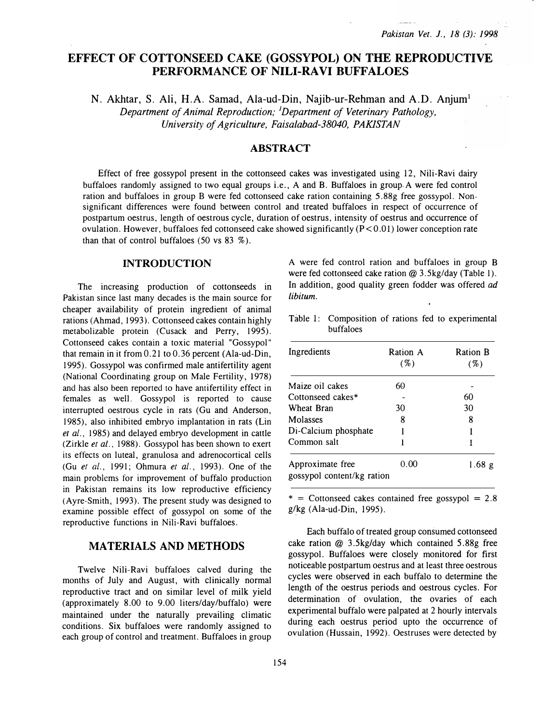# EFFECT OF COTTONSEED CAKE (GOSSYPOL) ON THE REPRODUCTIVE PERFORMANCE OF NILI-RA VI BUFFALOES

N. Akhtar, S. Ali, H.A. Samad, Ala-ud-Din, Najib-ur-Rehman and A.D. Anjum<sup>1</sup> Department of Animal Reproduction; <sup>1</sup>Department of Veterinary Pathology, University of Agriculture, Faisalabad-38040, PAKISTAN

## **ABSTRACT**

Effect of free gossypol present in the cottonseed cakes was investigated using 12, Nili-Ravi dairy buffaloes randomly assigned to two equal groups i.e., A and B. Buffaloes in group. A were fed control ration and buffaloes in group B were fed cottonseed cake ration containing 5.88g free gossypol. Nonsignificant differences were found between control and treated buffaloes in respect of occurrence of postpartum oestrus, length of oestrous cycle, duration of oestrus, intensity of oestrus and occurrence of ovulation. However, buffaloes fed cottonseed cake showed significantly  $(P<0.01)$  lower conception rate than that of control buffaloes (50 vs  $83\%$ ).

#### INTRODUCTION

The increasing production of cottonseeds in Pakistan since last many decades is the main source for cheaper availability of protein ingredient of animal rations (Ahmad, 1993). Cottonseed cakes contain highly metabolizable protein (Cusack and Perry, 1995). Cottonseed cakes contain a toxic material "Gossypol" that remain in it from 0.21 to 0.36 percent (Ala-ud-Din, 1995). Gossypol was confirmed male antifertility agent (National Coordinating group on Male Fertility, 1978) and has also been reported to have antifertility effect in females as well. Gossypol is reported to cause interrupted oestrous cycle in rats (Gu and Anderson, 1985), also inhibited embryo implantation in rats (Lin et al., 1985) and delayed embryo development in cattle (Zirkle et al., 1988). Gossypol has been shown to exert its effects on luteal, granulosa and adrenocortical cells (Gu et al., 1991; Ohmura et al., 1993). One of the main problems for improvement of buffalo production in Pakistan remains its low reproductive efficiency ( Ayre-Smith, 1993). The present study was designed to examine possible effect of gossypol on some of the reproductive functions in Nili-Ravi buffaloes.

### MATERIALS AND METHODS

Twelve Nili-Ravi buffaloes calved during the months of July and August, with clinically normal reproductive tract and on similar level of milk yield (approximately 8.00 to 9.00 liters/day/buffalo) were maintained under the naturally prevailing climatic conditions. Six buffaloes were randomly assigned to each group of control and treatment. Buffaloes in group A were fed control ration and buffaloes in group B were fed cottonseed cake ration @ 3.5kg/day (Table 1). In addition, good quality green fodder was offered *ad* libitum.

Table 1: Composition of rations fed to experimental buffaloes

| Ingredients                                    | Ration A<br>$( \% )$ | <b>Ration B</b><br>$( \% )$ |
|------------------------------------------------|----------------------|-----------------------------|
| Maize oil cakes                                | 60                   |                             |
| Cottonseed cakes*                              |                      | 60                          |
| Wheat Bran                                     | 30                   | 30                          |
| Molasses                                       | 8                    | 8                           |
| Di-Calcium phosphate                           |                      |                             |
| Common salt                                    |                      |                             |
| Approximate free<br>gossypol content/kg ration | 0.00                 | 1.68 $g$                    |

 $*$  = Cottonseed cakes contained free gossypol = 2.8  $g/kg$  (Ala-ud-Din, 1995).

Each buffalo of treated group consumed cottonseed cake ration @ 3.5kg/day which contained 5.88g free gossypol. Buffaloes were closely monitored for first noticeable postpartum oestrus and at least three oestrous cycles were observed in each buffalo to determine the length of the oestrus periods and oestrous cycles. For determination of ovulation, the ovaries of each experimental buffalo were palpated at 2 hourly intervals during each oestrus period upto the occurrence of ovulation (Hussain, 1992). Oestruses were detected by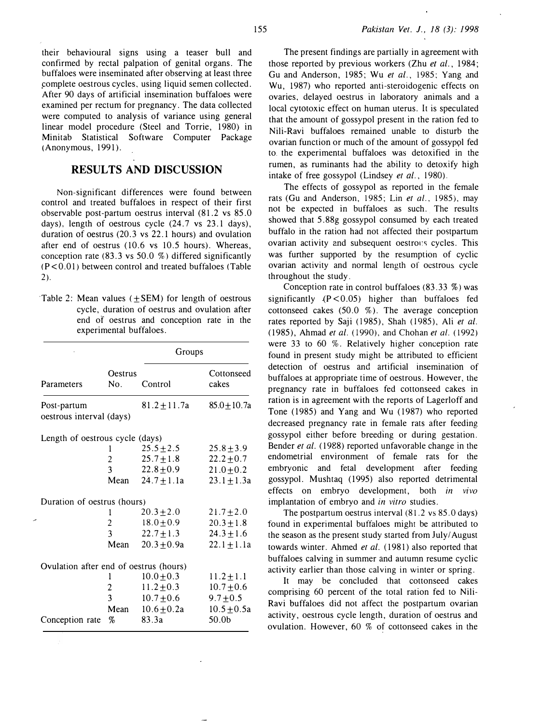their behavioural signs using a teaser bull and confirmed by rectal palpation of genital organs. The buffaloes were inseminated after observing at least three �omplete oestrous cycles, using liquid semen collected. After 90 days of artificial insemination buffaloes were examined per rectum for pregnancy. The data collected were computed to analysis of variance using general linear model procedure (Steel and Torrie, 1980) in Minitab Statistical Software Computer Package (Anonymous, 1991).

### RESULTS AND DISCUSSION

Non-significant differences were found between control and treated buffaloes in respect of their first observable post-partum oestrus interval (81.2 vs 85.0 days), length of oestrous cycle (24.7 vs 23.1 days), duration of oestrus (20.3 vs 22.1 hours) and ovulation after end of oestrus (10.6 vs 10.5 hours). Whereas, conception rate (83.3 vs 50.0 %) differed significantly (P < 0.01) between control and treated buffaloes (Table 2).

| Table 2: Mean values $(\pm$ SEM) for length of oestrous |  |  |  |  |
|---------------------------------------------------------|--|--|--|--|
| cycle, duration of oestrus and ovulation after          |  |  |  |  |
| end of oestrus and conception rate in the               |  |  |  |  |
| experimental buffaloes.                                 |  |  |  |  |

|                                         |                         | Groups           |                     |
|-----------------------------------------|-------------------------|------------------|---------------------|
| <b>Parameters</b>                       | Oestrus<br>No.          | Control          | Cottonseed<br>cakes |
| Post-partum<br>oestrous interval (days) |                         | $81.2 \pm 11.7a$ | $85.0 + 10.7a$      |
| Length of oestrous cycle (days)         |                         |                  |                     |
|                                         |                         | $25.5 + 2.5$     | $25.8 + 3.9$        |
|                                         | $\overline{2}$          | $25.7 \pm 1.8$   | $22.2 \pm 0.7$      |
|                                         | $\overline{3}$          | $22.8 \pm 0.9$   | $21.0 \pm 0.2$      |
|                                         | Mean                    | $24.7 \pm 1.1a$  | $23.1 \pm 1.3a$     |
| Duration of oestrus (hours)             |                         |                  |                     |
|                                         | 1                       | $20.3 + 2.0$     | $21.7 \pm 2.0$      |
|                                         | $\overline{2}$          | $18.0 \pm 0.9$   | $20.3 \pm 1.8$      |
|                                         | $\mathbf{3}$            | $22.7 \pm 1.3$   | $24.3 \pm 1.6$      |
|                                         | Mean                    | $20.3 \pm 0.9a$  | $22.1 \pm 1.1a$     |
| Ovulation after end of oestrus (hours)  |                         |                  |                     |
|                                         | 1                       | $10.0 \pm 0.3$   | $11.2 \pm 1.1$      |
|                                         | $\overline{\mathbf{c}}$ | $11.2 \pm 0.3$   | $10.7 \pm 0.6$      |
|                                         | $\overline{3}$          | $10.7 \pm 0.6$   | $9.7 \pm 0.5$       |
|                                         | Mean                    | $10.6 \pm 0.2a$  | $10.5 + 0.5a$       |
| Conception rate                         | %                       | 83.3a            | 50.0 <sub>b</sub>   |

The present findings are partially in agreement with those reported by previous workers (Zhu et al., 1984; Gu and Anderson, 1985; Wu et al., 1985; Yang and Wu, 1987) who reported anti-steroidogenic effects on ovaries, delayed oestrus in laboratory animals and a local cytotoxic effect on human uterus. It is speculated that the amount of gossypol present in the ration fed to Nili-Ravi buffaloes remained unable to disturb the ovarian function or much of the amount of gossypol fed to. the experimental buffaloes was detoxified in the rumen, as ruminants had the ability to detoxify high intake of free gossypol (Lindsey et al., 1980).

The effects of gossypol as reported in the female rats (Gu and Anderson, 1985; Lin et al., 1985), may not be expected in buffaloes as such. The results showed that 5.88g gossypol consumed by each treated buffalo in the ration had not affected their postpartum ovarian activity and subsequent oestrous cycles. This was further supported by the resumption of cyclic ovarian activity and normal length of oestrous cycle throughout the study.

Conception rate in control buffaloes (83.33 %) was significantly  $(P < 0.05)$  higher than buffaloes fed cottonseed cakes  $(50.0 \, %)$ . The average conception rates reported by Saji (1985), Shah (1985), Ali et al. (1985), Ahmad et al. (1990), and Chohan et al. (1992) were 33 to 60 %. Relatively higher conception rate found in present study might be attributed to efficient detection of oestrus and artificial insemination of buffaloes at appropriate time of oestrous. However, the pregnancy rate in buffaloes fed cottonseed cakes in ration is in agreement with the reports of Lagerloff and Tone (1985) and Yang and Wu ( 1987) who reported decreased pregnancy rate in female rats after feeding gossypol either before breeding or during gestation. Bender et al. (1988) reported unfavorable change in the endometrial environment of female rats for the embryonic and fetal development after feeding gossypol. Mushtaq (1995) also reported detrimental effects on embryo development, both in vivo implantation of embryo and in vitro studies.

The postpartum oestrus interval (81.2 vs 85.0 days) found in experimental buffaloes might be attributed to the season as the present study started from July/ August towards winter. Ahmed et al. (1981) also reported that buffaloes calving in summer and autumn resume cyclic activity earlier than those calving in winter or spring.

It may be concluded that cottonseed cakes comprising 60 percent of the total ration fed to Nili-Ravi buffaloes did not affect the postpartum ovarian activity, oestrous cycle length, duration of oestrus and ovulation. However, 60 % of cottonseed cakes in the